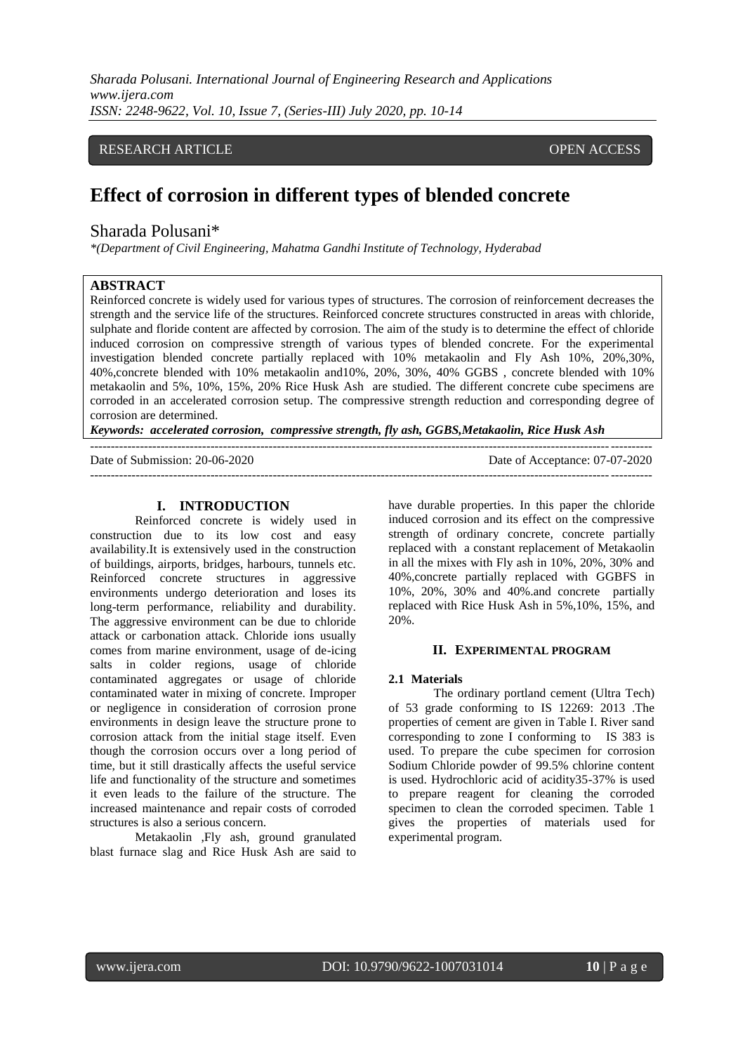*Sharada Polusani. International Journal of Engineering Research and Applications www.ijera.com ISSN: 2248-9622, Vol. 10, Issue 7, (Series-III) July 2020, pp. 10-14*

## **EXEARCH ARTICLE OPEN ACCESS**

# **Effect of corrosion in different types of blended concrete**

## Sharada Polusani\*

*\*(Department of Civil Engineering, Mahatma Gandhi Institute of Technology, Hyderabad*

## **ABSTRACT**

Reinforced concrete is widely used for various types of structures. The corrosion of reinforcement decreases the strength and the service life of the structures. Reinforced concrete structures constructed in areas with chloride, sulphate and floride content are affected by corrosion. The aim of the study is to determine the effect of chloride induced corrosion on compressive strength of various types of blended concrete. For the experimental investigation blended concrete partially replaced with 10% metakaolin and Fly Ash 10%, 20%,30%, 40%,concrete blended with 10% metakaolin and10%, 20%, 30%, 40% GGBS , concrete blended with 10% metakaolin and 5%, 10%, 15%, 20% Rice Husk Ash are studied. The different concrete cube specimens are corroded in an accelerated corrosion setup. The compressive strength reduction and corresponding degree of corrosion are determined.

*Keywords: accelerated corrosion, compressive strength, fly ash, GGBS,Metakaolin, Rice Husk Ash*

--------------------------------------------------------------------------------------------------------------------------------------- Date of Submission: 20-06-2020 ---------------------------------------------------------------------------------------------------------------------------------------

#### **I. INTRODUCTION**

Reinforced concrete is widely used in construction due to its low cost and easy availability.It is extensively used in the construction of buildings, airports, bridges, harbours, tunnels etc. Reinforced concrete structures in aggressive environments undergo deterioration and loses its long-term performance, reliability and durability. The aggressive environment can be due to chloride attack or carbonation attack. Chloride ions usually comes from marine environment, usage of de-icing salts in colder regions, usage of chloride contaminated aggregates or usage of chloride contaminated water in mixing of concrete. Improper or negligence in consideration of corrosion prone environments in design leave the structure prone to corrosion attack from the initial stage itself. Even though the corrosion occurs over a long period of time, but it still drastically affects the useful service life and functionality of the structure and sometimes it even leads to the failure of the structure. The increased maintenance and repair costs of corroded structures is also a serious concern.

Metakaolin ,Fly ash, ground granulated blast furnace slag and Rice Husk Ash are said to have durable properties. In this paper the chloride induced corrosion and its effect on the compressive strength of ordinary concrete, concrete partially replaced with a constant replacement of Metakaolin in all the mixes with Fly ash in 10%, 20%, 30% and 40%,concrete partially replaced with GGBFS in 10%, 20%, 30% and 40%.and concrete partially replaced with Rice Husk Ash in 5%,10%, 15%, and 20%.

#### **II. EXPERIMENTAL PROGRAM**

#### **2.1 Materials**

The ordinary portland cement (Ultra Tech) of 53 grade conforming to IS 12269: 2013 .The properties of cement are given in Table I. River sand corresponding to zone I conforming to IS 383 is used. To prepare the cube specimen for corrosion Sodium Chloride powder of 99.5% chlorine content is used. Hydrochloric acid of acidity35-37% is used to prepare reagent for cleaning the corroded specimen to clean the corroded specimen. Table 1 gives the properties of materials used for experimental program.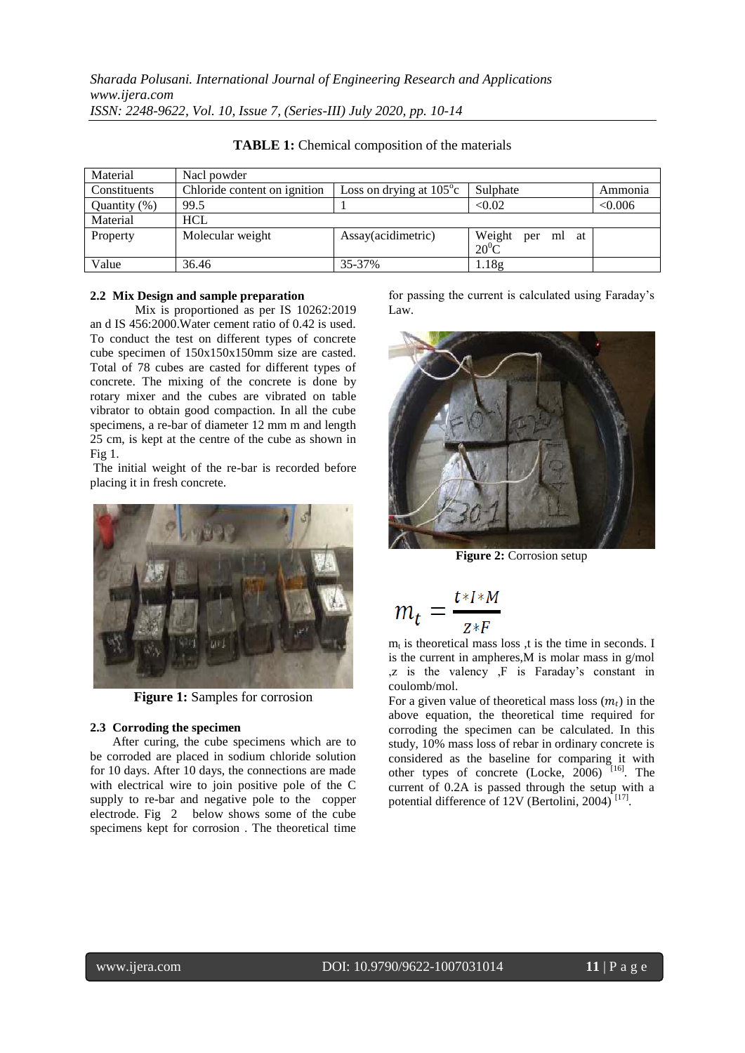| Material        | Nacl powder                  |                                  |                                 |         |
|-----------------|------------------------------|----------------------------------|---------------------------------|---------|
| Constituents    | Chloride content on ignition | Loss on drying at $105^{\circ}c$ | Sulphate                        | Ammonia |
| Quantity $(\%)$ | 99.5                         |                                  | < 0.02                          | < 0.006 |
| Material        | <b>HCL</b>                   |                                  |                                 |         |
| Property        | Molecular weight             | Assay(acidimetric)               | Weight<br>per ml at<br>$20^0$ C |         |
| Value           | 36.46                        | 35-37%                           | 1.18 <sub>g</sub>               |         |

**TABLE 1:** Chemical composition of the materials

## **2.2 Mix Design and sample preparation**

Mix is proportioned as per IS 10262:2019 an d IS 456:2000.Water cement ratio of 0.42 is used. To conduct the test on different types of concrete cube specimen of 150x150x150mm size are casted. Total of 78 cubes are casted for different types of concrete. The mixing of the concrete is done by rotary mixer and the cubes are vibrated on table vibrator to obtain good compaction. In all the cube specimens, a re-bar of diameter 12 mm m and length 25 cm, is kept at the centre of the cube as shown in Fig 1.

The initial weight of the re-bar is recorded before placing it in fresh concrete.



**Figure 1:** Samples for corrosion

#### **2.3 Corroding the specimen**

After curing, the cube specimens which are to be corroded are placed in sodium chloride solution for 10 days. After 10 days, the connections are made with electrical wire to join positive pole of the C supply to re-bar and negative pole to the copper electrode. Fig 2 below shows some of the cube specimens kept for corrosion . The theoretical time

for passing the current is calculated using Faraday's Law.



**Figure 2:** Corrosion setup

$$
m_t = \frac{t \cdot I \cdot M}{z \cdot F}
$$

 $m_t$  is theoretical mass loss ,t is the time in seconds. I is the current in ampheres,M is molar mass in g/mol ,z is the valency ,F is Faraday's constant in coulomb/mol.

For a given value of theoretical mass loss  $(m_t)$  in the above equation, the theoretical time required for corroding the specimen can be calculated. In this study, 10% mass loss of rebar in ordinary concrete is considered as the baseline for comparing it with other types of concrete (Locke,  $2006$ )<sup> $[16]$ </sup>. The current of 0.2A is passed through the setup with a potential difference of 12V (Bertolini, 2004)<sup>[17]</sup>.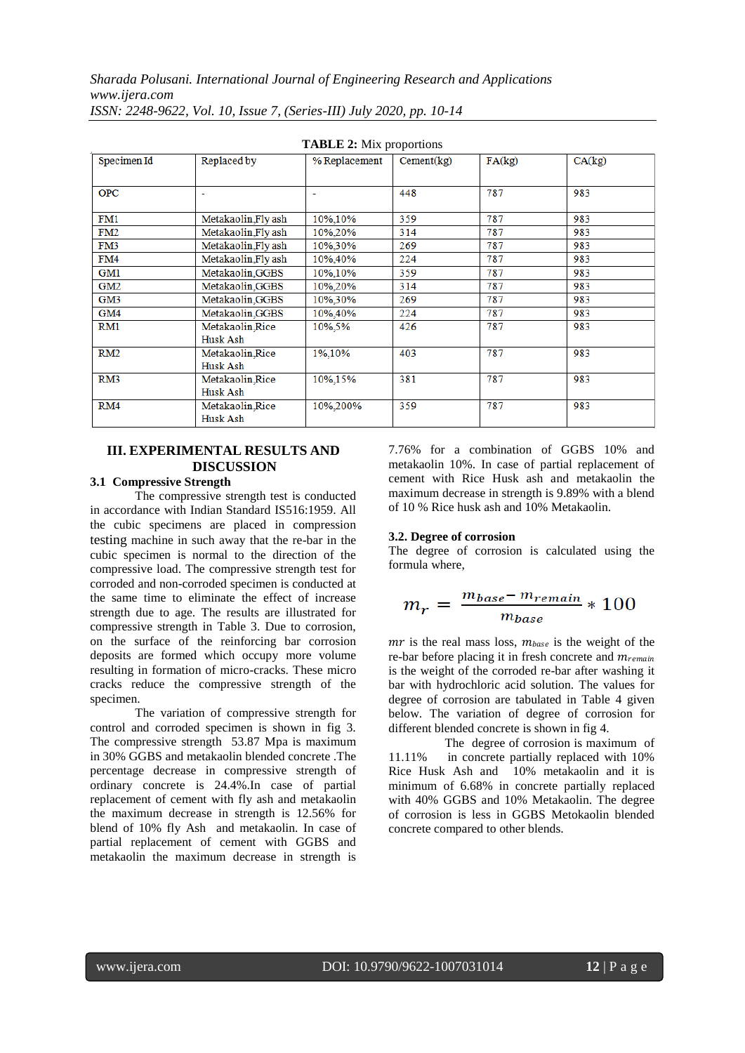*Sharada Polusani. International Journal of Engineering Research and Applications www.ijera.com*

| <b>TABLE 2:</b> Mix proportions |                     |               |            |        |        |  |  |  |  |
|---------------------------------|---------------------|---------------|------------|--------|--------|--|--|--|--|
| Specimen Id                     | Replaced by         | % Replacement | Cement(kg) | FA(kg) | CA(kg) |  |  |  |  |
|                                 |                     |               |            |        |        |  |  |  |  |
| <b>OPC</b>                      | ۰                   | ۰             | 448        | 787    | 983    |  |  |  |  |
|                                 |                     |               |            |        |        |  |  |  |  |
| FM1                             | Metakaolin, Fly ash | 10%,10%       | 359        | 787    | 983    |  |  |  |  |
| FM2                             | Metakaolin.Fly ash  | 10%,20%       | 314        | 787    | 983    |  |  |  |  |
| FM3                             | Metakaolin.Fly ash  | 10%.30%       | 269        | 787    | 983    |  |  |  |  |
| FM4                             | Metakaolin Fly ash  | 10%,40%       | 224        | 787    | 983    |  |  |  |  |
| GM1                             | Metakaolin, GGBS    | 10%, 10%      | 359        | 787    | 983    |  |  |  |  |
| GM2                             | Metakaolin.GGBS     | 10%,20%       | 314        | 787    | 983    |  |  |  |  |
| GM3                             | Metakaolin, GGBS    | 10%,30%       | 269        | 787    | 983    |  |  |  |  |
| GM4                             | Metakaolin.GGBS     | 10%,40%       | 224        | 787    | 983    |  |  |  |  |
| RM1                             | Metakaolin, Rice    | 10%,5%        | 426        | 787    | 983    |  |  |  |  |
|                                 | Husk Ash            |               |            |        |        |  |  |  |  |
| RM2                             | Metakaolin, Rice    | 1%,10%        | 403        | 787    | 983    |  |  |  |  |
|                                 | Husk Ash            |               |            |        |        |  |  |  |  |
| RM3                             | Metakaolin, Rice    | 10%,15%       | 381        | 787    | 983    |  |  |  |  |
|                                 | Husk Ash            |               |            |        |        |  |  |  |  |
| RM4                             | Metakaolin, Rice    | 10%.200%      | 359        | 787    | 983    |  |  |  |  |
|                                 | Husk Ash            |               |            |        |        |  |  |  |  |

*ISSN: 2248-9622, Vol. 10, Issue 7, (Series-III) July 2020, pp. 10-14*

## **III. EXPERIMENTAL RESULTS AND DISCUSSION**

### **3.1 Compressive Strength**

The compressive strength test is conducted in accordance with Indian Standard IS516:1959. All the cubic specimens are placed in compression testing machine in such away that the re-bar in the cubic specimen is normal to the direction of the compressive load. The compressive strength test for corroded and non-corroded specimen is conducted at the same time to eliminate the effect of increase strength due to age. The results are illustrated for compressive strength in Table 3. Due to corrosion, on the surface of the reinforcing bar corrosion deposits are formed which occupy more volume resulting in formation of micro-cracks. These micro cracks reduce the compressive strength of the specimen.

The variation of compressive strength for control and corroded specimen is shown in fig 3. The compressive strength 53.87 Mpa is maximum in 30% GGBS and metakaolin blended concrete .The percentage decrease in compressive strength of ordinary concrete is 24.4%.In case of partial replacement of cement with fly ash and metakaolin the maximum decrease in strength is 12.56% for blend of 10% fly Ash and metakaolin. In case of partial replacement of cement with GGBS and metakaolin the maximum decrease in strength is

7.76% for a combination of GGBS 10% and metakaolin 10%. In case of partial replacement of cement with Rice Husk ash and metakaolin the maximum decrease in strength is 9.89% with a blend of 10 % Rice husk ash and 10% Metakaolin.

#### **3.2. Degree of corrosion**

The degree of corrosion is calculated using the formula where,

$$
m_r = \frac{m_{base} - m_{remain}}{m_{base}} * 100
$$

 $mr$  is the real mass loss,  $m_{base}$  is the weight of the re-bar before placing it in fresh concrete and  $m_{remain}$ is the weight of the corroded re-bar after washing it bar with hydrochloric acid solution. The values for degree of corrosion are tabulated in Table 4 given below. The variation of degree of corrosion for different blended concrete is shown in fig 4.

 The degree of corrosion is maximum of 11.11% in concrete partially replaced with 10% Rice Husk Ash and 10% metakaolin and it is minimum of 6.68% in concrete partially replaced with 40% GGBS and 10% Metakaolin. The degree of corrosion is less in GGBS Metokaolin blended concrete compared to other blends.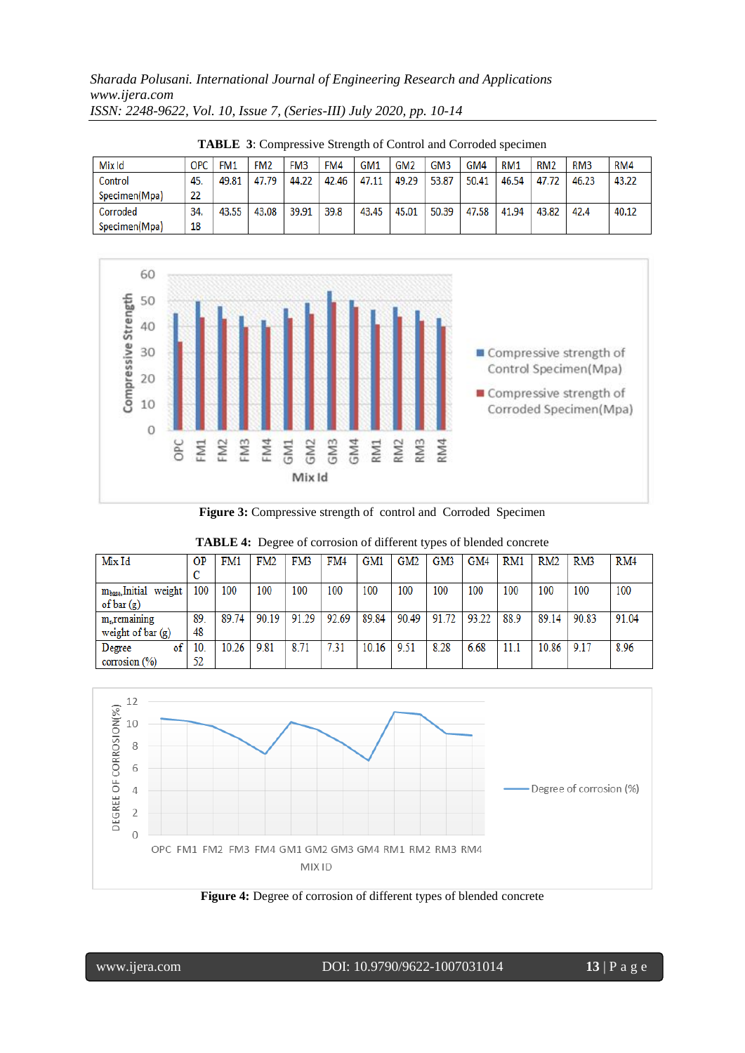*Sharada Polusani. International Journal of Engineering Research and Applications www.ijera.com ISSN: 2248-9622, Vol. 10, Issue 7, (Series-III) July 2020, pp. 10-14*

| Mix Id        | ОРС | FM <sub>1</sub> | FM <sub>2</sub> | FM <sub>3</sub> | FM4   | GM <sub>1</sub> | GM <sub>2</sub> | GM <sub>3</sub> | GM4   | RM <sub>1</sub> | RM <sub>2</sub> | RM <sub>3</sub> | RM4   |
|---------------|-----|-----------------|-----------------|-----------------|-------|-----------------|-----------------|-----------------|-------|-----------------|-----------------|-----------------|-------|
| Control       | 45. | 49.81           | 47.79           | 44.22           | 42.46 | 47.11           | 49.29           | 53.87           | 50.41 | 46.54           | 47.72           | 46.23           | 43.22 |
| Specimen(Mpa) | 22  |                 |                 |                 |       |                 |                 |                 |       |                 |                 |                 |       |
| Corroded      | 34. | 43.55           | 43.08           | 39.91           | 39.8  | 43.45           | 45.01           | 50.39           | 47.58 | 41.94           | 43.82           | 42.4            | 40.12 |
| Specimen(Mpa) | 18  |                 |                 |                 |       |                 |                 |                 |       |                 |                 |                 |       |

**TABLE 3**: Compressive Strength of Control and Corroded specimen



**Figure 3:** Compressive strength of control and Corroded Specimen

| Mix Id                | <b>OP</b> | FM1   | FM <sub>2</sub> | FM3   | FM4   | GM1   | GM <sub>2</sub> | GM3   | GM4   | RM1  | RM2   | RM3   | RM4   |
|-----------------------|-----------|-------|-----------------|-------|-------|-------|-----------------|-------|-------|------|-------|-------|-------|
|                       |           |       |                 |       |       |       |                 |       |       |      |       |       |       |
| mbase, Initial weight | 100       | 100   | 100             | 100   | 100   | 100   | 100             | 100   | 100   | 100  | 100   | 100   | 100   |
| of $bar(g)$           |           |       |                 |       |       |       |                 |       |       |      |       |       |       |
| $mr$ , remaining      | 89.       | 89.74 | 90.19           | 91.29 | 92.69 | 89.84 | 90.49           | 91.72 | 93.22 | 88.9 | 89.14 | 90.83 | 91.04 |
| weight of $bar(g)$    | 48        |       |                 |       |       |       |                 |       |       |      |       |       |       |
| of<br>Degree          | 10.       | 10.26 | 9.81            | 8.71  | 7.31  | 10.16 | 9.51            | 8.28  | 6.68  | 11.1 | 10.86 | 9.17  | 8.96  |
| corrosion $(\%)$      | 52        |       |                 |       |       |       |                 |       |       |      |       |       |       |

| <b>TABLE 4:</b> Degree of corrosion of different types of blended concrete |  |  |  |  |                                                                     |  |  |  |  |  |  |  |
|----------------------------------------------------------------------------|--|--|--|--|---------------------------------------------------------------------|--|--|--|--|--|--|--|
|                                                                            |  |  |  |  | OP   FM1   FM2   FM3   FM4   GM1   GM2   GM3   GM4   RM1   RM2   RM |  |  |  |  |  |  |  |



**Figure 4:** Degree of corrosion of different types of blended concrete